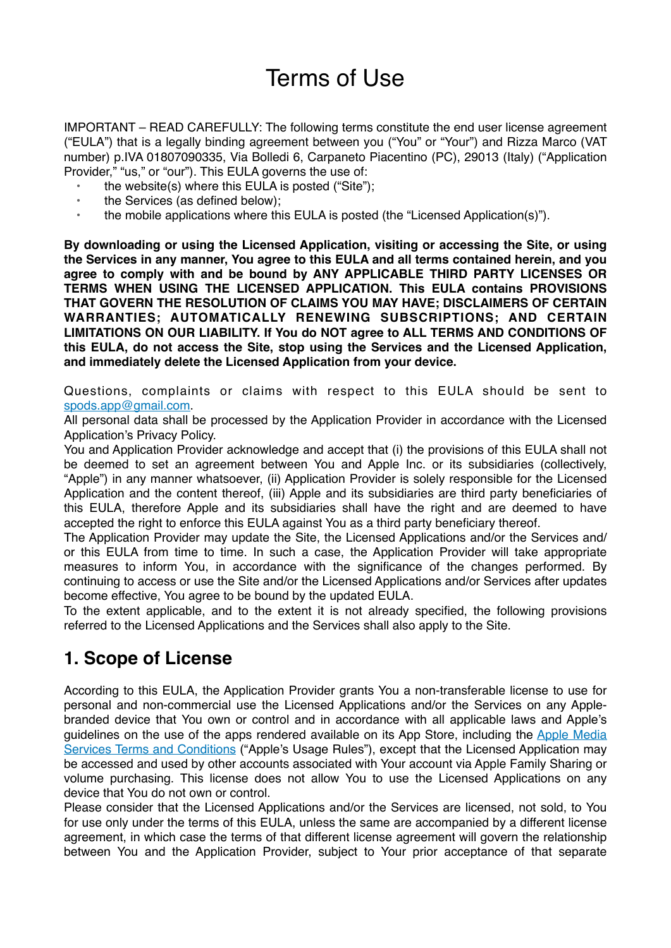# Terms of Use

IMPORTANT – READ CAREFULLY: The following terms constitute the end user license agreement ("EULA") that is a legally binding agreement between you ("You" or "Your") and Rizza Marco (VAT number) p.IVA 01807090335, Via Bolledi 6, Carpaneto Piacentino (PC), 29013 (Italy) ("Application Provider," "us," or "our"). This EULA governs the use of:

- the website(s) where this EULA is posted ("Site");
- the Services (as defined below);
- the mobile applications where this EULA is posted (the "Licensed Application(s)").

**By downloading or using the Licensed Application, visiting or accessing the Site, or using the Services in any manner, You agree to this EULA and all terms contained herein, and you agree to comply with and be bound by ANY APPLICABLE THIRD PARTY LICENSES OR TERMS WHEN USING THE LICENSED APPLICATION. This EULA contains PROVISIONS THAT GOVERN THE RESOLUTION OF CLAIMS YOU MAY HAVE; DISCLAIMERS OF CERTAIN WARRANTIES; AUTOMATICALLY RENEWING SUBSCRIPTIONS; AND CERTAIN LIMITATIONS ON OUR LIABILITY. If You do NOT agree to ALL TERMS AND CONDITIONS OF this EULA, do not access the Site, stop using the Services and the Licensed Application, and immediately delete the Licensed Application from your device.**

Questions, complaints or claims with respect to this EULA should be sent to [spods.app@gmail.com.](mailto:spods.app@gmail.com?subject=Processing%20of%20personal%20data)

All personal data shall be processed by the Application Provider in accordance with the Licensed Application's Privacy Policy.

You and Application Provider acknowledge and accept that (i) the provisions of this EULA shall not be deemed to set an agreement between You and Apple Inc. or its subsidiaries (collectively, "Apple") in any manner whatsoever, (ii) Application Provider is solely responsible for the Licensed Application and the content thereof, (iii) Apple and its subsidiaries are third party beneficiaries of this EULA, therefore Apple and its subsidiaries shall have the right and are deemed to have accepted the right to enforce this EULA against You as a third party beneficiary thereof.

The Application Provider may update the Site, the Licensed Applications and/or the Services and/ or this EULA from time to time. In such a case, the Application Provider will take appropriate measures to inform You, in accordance with the significance of the changes performed. By continuing to access or use the Site and/or the Licensed Applications and/or Services after updates become effective, You agree to be bound by the updated EULA.

To the extent applicable, and to the extent it is not already specified, the following provisions referred to the Licensed Applications and the Services shall also apply to the Site.

## **1. Scope of License**

According to this EULA, the Application Provider grants You a non-transferable license to use for personal and non-commercial use the Licensed Applications and/or the Services on any Applebranded device that You own or control and in accordance with all applicable laws and Apple's guidelines on the use of the apps rendered available on its App Store, including the [Apple Media](https://www.apple.com/legal/internet-services/itunes/)  [Services Terms and Conditions](https://www.apple.com/legal/internet-services/itunes/) ("Apple's Usage Rules"), except that the Licensed Application may be accessed and used by other accounts associated with Your account via Apple Family Sharing or volume purchasing. This license does not allow You to use the Licensed Applications on any device that You do not own or control.

Please consider that the Licensed Applications and/or the Services are licensed, not sold, to You for use only under the terms of this EULA, unless the same are accompanied by a different license agreement, in which case the terms of that different license agreement will govern the relationship between You and the Application Provider, subject to Your prior acceptance of that separate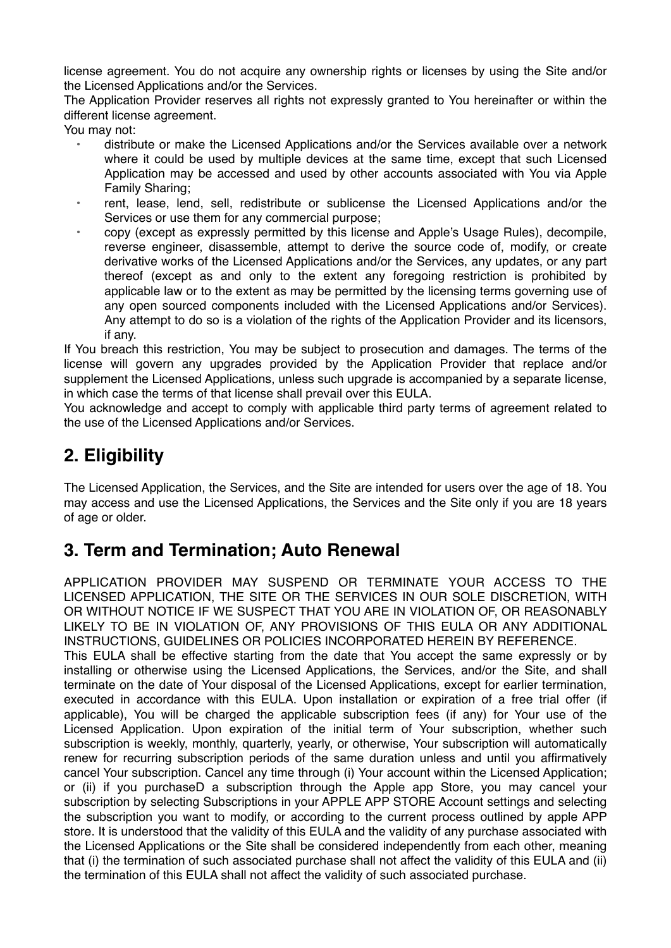license agreement. You do not acquire any ownership rights or licenses by using the Site and/or the Licensed Applications and/or the Services.

The Application Provider reserves all rights not expressly granted to You hereinafter or within the different license agreement.

You may not:

- distribute or make the Licensed Applications and/or the Services available over a network where it could be used by multiple devices at the same time, except that such Licensed Application may be accessed and used by other accounts associated with You via Apple Family Sharing;
- rent, lease, lend, sell, redistribute or sublicense the Licensed Applications and/or the Services or use them for any commercial purpose;
- copy (except as expressly permitted by this license and Apple's Usage Rules), decompile, reverse engineer, disassemble, attempt to derive the source code of, modify, or create derivative works of the Licensed Applications and/or the Services, any updates, or any part thereof (except as and only to the extent any foregoing restriction is prohibited by applicable law or to the extent as may be permitted by the licensing terms governing use of any open sourced components included with the Licensed Applications and/or Services). Any attempt to do so is a violation of the rights of the Application Provider and its licensors, if any.

If You breach this restriction, You may be subject to prosecution and damages. The terms of the license will govern any upgrades provided by the Application Provider that replace and/or supplement the Licensed Applications, unless such upgrade is accompanied by a separate license, in which case the terms of that license shall prevail over this EULA.

You acknowledge and accept to comply with applicable third party terms of agreement related to the use of the Licensed Applications and/or Services.

# **2. Eligibility**

The Licensed Application, the Services, and the Site are intended for users over the age of 18. You may access and use the Licensed Applications, the Services and the Site only if you are 18 years of age or older.

# **3. Term and Termination; Auto Renewal**

APPLICATION PROVIDER MAY SUSPEND OR TERMINATE YOUR ACCESS TO THE LICENSED APPLICATION, THE SITE OR THE SERVICES IN OUR SOLE DISCRETION, WITH OR WITHOUT NOTICE IF WE SUSPECT THAT YOU ARE IN VIOLATION OF, OR REASONABLY LIKELY TO BE IN VIOLATION OF, ANY PROVISIONS OF THIS EULA OR ANY ADDITIONAL INSTRUCTIONS, GUIDELINES OR POLICIES INCORPORATED HEREIN BY REFERENCE.

This EULA shall be effective starting from the date that You accept the same expressly or by installing or otherwise using the Licensed Applications, the Services, and/or the Site, and shall terminate on the date of Your disposal of the Licensed Applications, except for earlier termination, executed in accordance with this EULA. Upon installation or expiration of a free trial offer (if applicable), You will be charged the applicable subscription fees (if any) for Your use of the Licensed Application. Upon expiration of the initial term of Your subscription, whether such subscription is weekly, monthly, quarterly, yearly, or otherwise, Your subscription will automatically renew for recurring subscription periods of the same duration unless and until you affirmatively cancel Your subscription. Cancel any time through (i) Your account within the Licensed Application; or (ii) if you purchaseD a subscription through the Apple app Store, you may cancel your subscription by selecting Subscriptions in your APPLE APP STORE Account settings and selecting the subscription you want to modify, or according to the current process outlined by apple APP store. It is understood that the validity of this EULA and the validity of any purchase associated with the Licensed Applications or the Site shall be considered independently from each other, meaning that (i) the termination of such associated purchase shall not affect the validity of this EULA and (ii) the termination of this EULA shall not affect the validity of such associated purchase.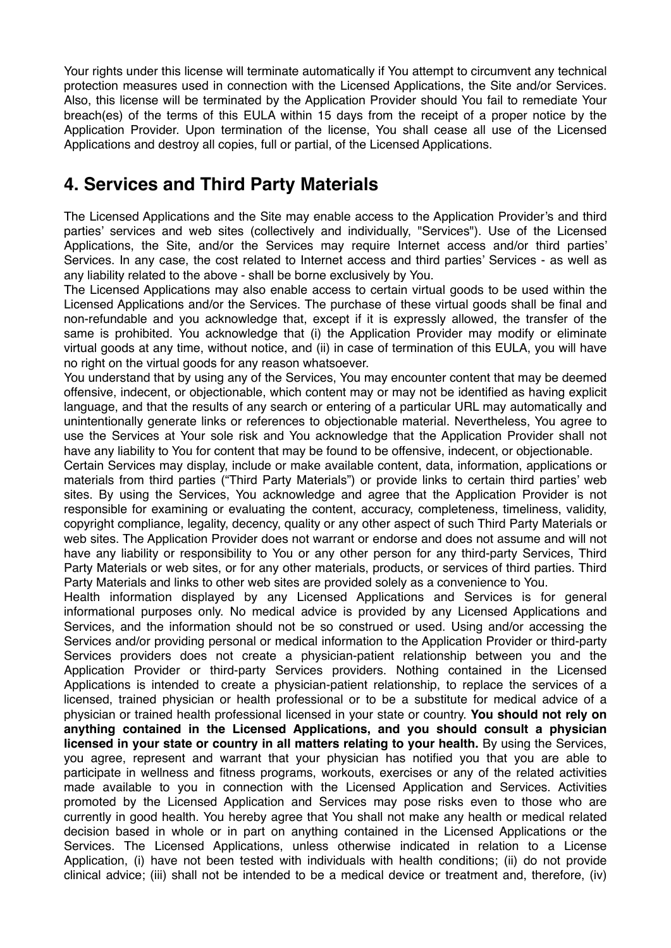Your rights under this license will terminate automatically if You attempt to circumvent any technical protection measures used in connection with the Licensed Applications, the Site and/or Services. Also, this license will be terminated by the Application Provider should You fail to remediate Your breach(es) of the terms of this EULA within 15 days from the receipt of a proper notice by the Application Provider. Upon termination of the license, You shall cease all use of the Licensed Applications and destroy all copies, full or partial, of the Licensed Applications.

## **4. Services and Third Party Materials**

The Licensed Applications and the Site may enable access to the Application Provider's and third parties' services and web sites (collectively and individually, "Services"). Use of the Licensed Applications, the Site, and/or the Services may require Internet access and/or third parties' Services. In any case, the cost related to Internet access and third parties' Services - as well as any liability related to the above - shall be borne exclusively by You.

The Licensed Applications may also enable access to certain virtual goods to be used within the Licensed Applications and/or the Services. The purchase of these virtual goods shall be final and non-refundable and you acknowledge that, except if it is expressly allowed, the transfer of the same is prohibited. You acknowledge that (i) the Application Provider may modify or eliminate virtual goods at any time, without notice, and (ii) in case of termination of this EULA, you will have no right on the virtual goods for any reason whatsoever.

You understand that by using any of the Services, You may encounter content that may be deemed offensive, indecent, or objectionable, which content may or may not be identified as having explicit language, and that the results of any search or entering of a particular URL may automatically and unintentionally generate links or references to objectionable material. Nevertheless, You agree to use the Services at Your sole risk and You acknowledge that the Application Provider shall not have any liability to You for content that may be found to be offensive, indecent, or objectionable.

Certain Services may display, include or make available content, data, information, applications or materials from third parties ("Third Party Materials") or provide links to certain third parties' web sites. By using the Services, You acknowledge and agree that the Application Provider is not responsible for examining or evaluating the content, accuracy, completeness, timeliness, validity, copyright compliance, legality, decency, quality or any other aspect of such Third Party Materials or web sites. The Application Provider does not warrant or endorse and does not assume and will not have any liability or responsibility to You or any other person for any third-party Services, Third Party Materials or web sites, or for any other materials, products, or services of third parties. Third Party Materials and links to other web sites are provided solely as a convenience to You.

Health information displayed by any Licensed Applications and Services is for general informational purposes only. No medical advice is provided by any Licensed Applications and Services, and the information should not be so construed or used. Using and/or accessing the Services and/or providing personal or medical information to the Application Provider or third-party Services providers does not create a physician-patient relationship between you and the Application Provider or third-party Services providers. Nothing contained in the Licensed Applications is intended to create a physician-patient relationship, to replace the services of a licensed, trained physician or health professional or to be a substitute for medical advice of a physician or trained health professional licensed in your state or country. **You should not rely on anything contained in the Licensed Applications, and you should consult a physician licensed in your state or country in all matters relating to your health.** By using the Services, you agree, represent and warrant that your physician has notified you that you are able to participate in wellness and fitness programs, workouts, exercises or any of the related activities made available to you in connection with the Licensed Application and Services. Activities promoted by the Licensed Application and Services may pose risks even to those who are currently in good health. You hereby agree that You shall not make any health or medical related decision based in whole or in part on anything contained in the Licensed Applications or the Services. The Licensed Applications, unless otherwise indicated in relation to a License Application, (i) have not been tested with individuals with health conditions; (ii) do not provide clinical advice; (iii) shall not be intended to be a medical device or treatment and, therefore, (iv)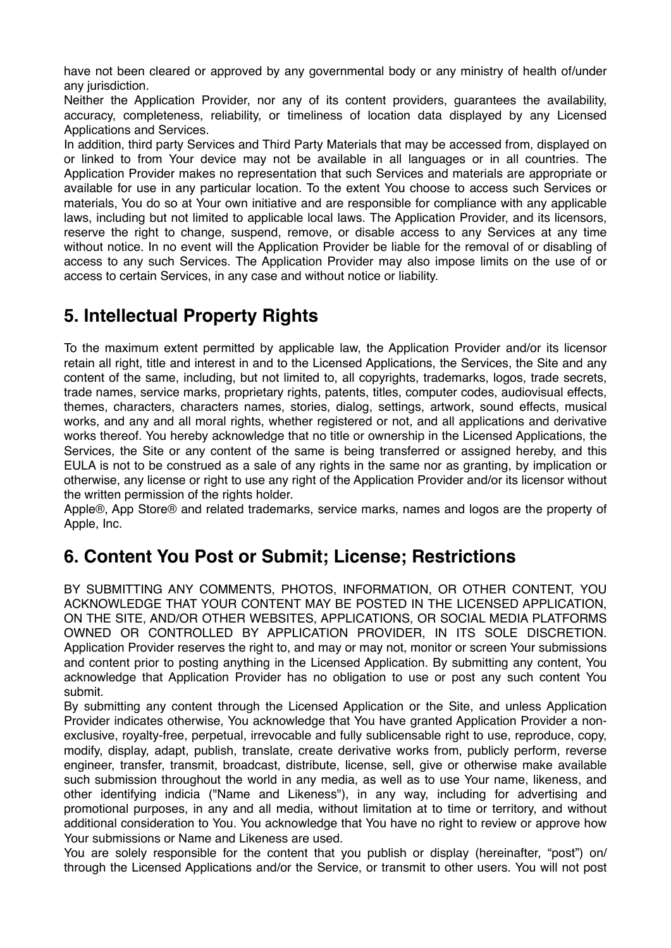have not been cleared or approved by any governmental body or any ministry of health of/under any jurisdiction.

Neither the Application Provider, nor any of its content providers, guarantees the availability, accuracy, completeness, reliability, or timeliness of location data displayed by any Licensed Applications and Services.

In addition, third party Services and Third Party Materials that may be accessed from, displayed on or linked to from Your device may not be available in all languages or in all countries. The Application Provider makes no representation that such Services and materials are appropriate or available for use in any particular location. To the extent You choose to access such Services or materials, You do so at Your own initiative and are responsible for compliance with any applicable laws, including but not limited to applicable local laws. The Application Provider, and its licensors, reserve the right to change, suspend, remove, or disable access to any Services at any time without notice. In no event will the Application Provider be liable for the removal of or disabling of access to any such Services. The Application Provider may also impose limits on the use of or access to certain Services, in any case and without notice or liability.

#### **5. Intellectual Property Rights**

To the maximum extent permitted by applicable law, the Application Provider and/or its licensor retain all right, title and interest in and to the Licensed Applications, the Services, the Site and any content of the same, including, but not limited to, all copyrights, trademarks, logos, trade secrets, trade names, service marks, proprietary rights, patents, titles, computer codes, audiovisual effects, themes, characters, characters names, stories, dialog, settings, artwork, sound effects, musical works, and any and all moral rights, whether registered or not, and all applications and derivative works thereof. You hereby acknowledge that no title or ownership in the Licensed Applications, the Services, the Site or any content of the same is being transferred or assigned hereby, and this EULA is not to be construed as a sale of any rights in the same nor as granting, by implication or otherwise, any license or right to use any right of the Application Provider and/or its licensor without the written permission of the rights holder.

Apple®, App Store® and related trademarks, service marks, names and logos are the property of Apple, Inc.

## **6. Content You Post or Submit; License; Restrictions**

BY SUBMITTING ANY COMMENTS, PHOTOS, INFORMATION, OR OTHER CONTENT, YOU ACKNOWLEDGE THAT YOUR CONTENT MAY BE POSTED IN THE LICENSED APPLICATION, ON THE SITE, AND/OR OTHER WEBSITES, APPLICATIONS, OR SOCIAL MEDIA PLATFORMS OWNED OR CONTROLLED BY APPLICATION PROVIDER, IN ITS SOLE DISCRETION. Application Provider reserves the right to, and may or may not, monitor or screen Your submissions and content prior to posting anything in the Licensed Application. By submitting any content, You acknowledge that Application Provider has no obligation to use or post any such content You submit.

By submitting any content through the Licensed Application or the Site, and unless Application Provider indicates otherwise, You acknowledge that You have granted Application Provider a nonexclusive, royalty-free, perpetual, irrevocable and fully sublicensable right to use, reproduce, copy, modify, display, adapt, publish, translate, create derivative works from, publicly perform, reverse engineer, transfer, transmit, broadcast, distribute, license, sell, give or otherwise make available such submission throughout the world in any media, as well as to use Your name, likeness, and other identifying indicia ("Name and Likeness"), in any way, including for advertising and promotional purposes, in any and all media, without limitation at to time or territory, and without additional consideration to You. You acknowledge that You have no right to review or approve how Your submissions or Name and Likeness are used.

You are solely responsible for the content that you publish or display (hereinafter, "post") on/ through the Licensed Applications and/or the Service, or transmit to other users. You will not post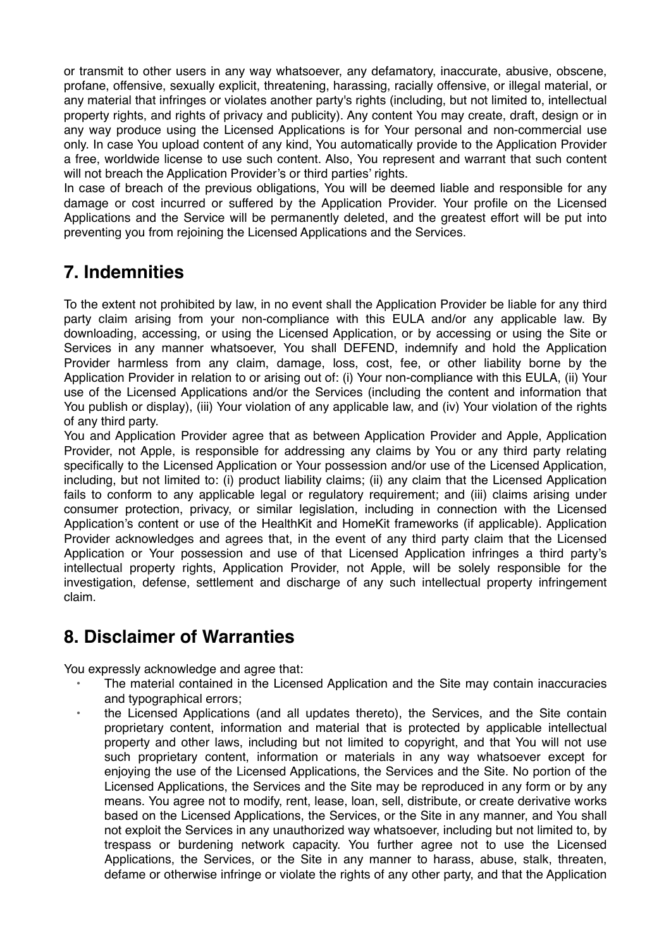or transmit to other users in any way whatsoever, any defamatory, inaccurate, abusive, obscene, profane, offensive, sexually explicit, threatening, harassing, racially offensive, or illegal material, or any material that infringes or violates another party's rights (including, but not limited to, intellectual property rights, and rights of privacy and publicity). Any content You may create, draft, design or in any way produce using the Licensed Applications is for Your personal and non-commercial use only. In case You upload content of any kind, You automatically provide to the Application Provider a free, worldwide license to use such content. Also, You represent and warrant that such content will not breach the Application Provider's or third parties' rights.

In case of breach of the previous obligations, You will be deemed liable and responsible for any damage or cost incurred or suffered by the Application Provider. Your profile on the Licensed Applications and the Service will be permanently deleted, and the greatest effort will be put into preventing you from rejoining the Licensed Applications and the Services.

# **7. Indemnities**

To the extent not prohibited by law, in no event shall the Application Provider be liable for any third party claim arising from your non-compliance with this EULA and/or any applicable law. By downloading, accessing, or using the Licensed Application, or by accessing or using the Site or Services in any manner whatsoever, You shall DEFEND, indemnify and hold the Application Provider harmless from any claim, damage, loss, cost, fee, or other liability borne by the Application Provider in relation to or arising out of: (i) Your non-compliance with this EULA, (ii) Your use of the Licensed Applications and/or the Services (including the content and information that You publish or display), (iii) Your violation of any applicable law, and (iv) Your violation of the rights of any third party.

You and Application Provider agree that as between Application Provider and Apple, Application Provider, not Apple, is responsible for addressing any claims by You or any third party relating specifically to the Licensed Application or Your possession and/or use of the Licensed Application, including, but not limited to: (i) product liability claims; (ii) any claim that the Licensed Application fails to conform to any applicable legal or regulatory requirement; and (iii) claims arising under consumer protection, privacy, or similar legislation, including in connection with the Licensed Application's content or use of the HealthKit and HomeKit frameworks (if applicable). Application Provider acknowledges and agrees that, in the event of any third party claim that the Licensed Application or Your possession and use of that Licensed Application infringes a third party's intellectual property rights, Application Provider, not Apple, will be solely responsible for the investigation, defense, settlement and discharge of any such intellectual property infringement claim.

#### **8. Disclaimer of Warranties**

You expressly acknowledge and agree that:

- The material contained in the Licensed Application and the Site may contain inaccuracies and typographical errors;
- the Licensed Applications (and all updates thereto), the Services, and the Site contain proprietary content, information and material that is protected by applicable intellectual property and other laws, including but not limited to copyright, and that You will not use such proprietary content, information or materials in any way whatsoever except for enjoying the use of the Licensed Applications, the Services and the Site. No portion of the Licensed Applications, the Services and the Site may be reproduced in any form or by any means. You agree not to modify, rent, lease, loan, sell, distribute, or create derivative works based on the Licensed Applications, the Services, or the Site in any manner, and You shall not exploit the Services in any unauthorized way whatsoever, including but not limited to, by trespass or burdening network capacity. You further agree not to use the Licensed Applications, the Services, or the Site in any manner to harass, abuse, stalk, threaten, defame or otherwise infringe or violate the rights of any other party, and that the Application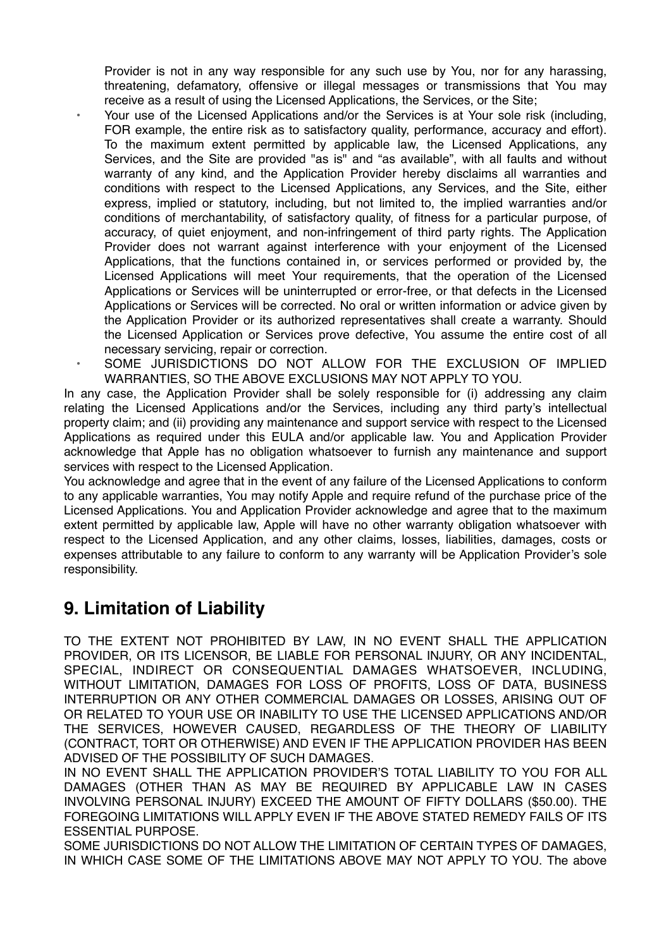Provider is not in any way responsible for any such use by You, nor for any harassing, threatening, defamatory, offensive or illegal messages or transmissions that You may receive as a result of using the Licensed Applications, the Services, or the Site;

- Your use of the Licensed Applications and/or the Services is at Your sole risk (including, FOR example, the entire risk as to satisfactory quality, performance, accuracy and effort). To the maximum extent permitted by applicable law, the Licensed Applications, any Services, and the Site are provided "as is" and "as available", with all faults and without warranty of any kind, and the Application Provider hereby disclaims all warranties and conditions with respect to the Licensed Applications, any Services, and the Site, either express, implied or statutory, including, but not limited to, the implied warranties and/or conditions of merchantability, of satisfactory quality, of fitness for a particular purpose, of accuracy, of quiet enjoyment, and non-infringement of third party rights. The Application Provider does not warrant against interference with your enjoyment of the Licensed Applications, that the functions contained in, or services performed or provided by, the Licensed Applications will meet Your requirements, that the operation of the Licensed Applications or Services will be uninterrupted or error-free, or that defects in the Licensed Applications or Services will be corrected. No oral or written information or advice given by the Application Provider or its authorized representatives shall create a warranty. Should the Licensed Application or Services prove defective, You assume the entire cost of all necessary servicing, repair or correction.
- SOME JURISDICTIONS DO NOT ALLOW FOR THE EXCLUSION OF IMPLIED WARRANTIES, SO THE ABOVE EXCLUSIONS MAY NOT APPLY TO YOU.

In any case, the Application Provider shall be solely responsible for (i) addressing any claim relating the Licensed Applications and/or the Services, including any third party's intellectual property claim; and (ii) providing any maintenance and support service with respect to the Licensed Applications as required under this EULA and/or applicable law. You and Application Provider acknowledge that Apple has no obligation whatsoever to furnish any maintenance and support services with respect to the Licensed Application.

You acknowledge and agree that in the event of any failure of the Licensed Applications to conform to any applicable warranties, You may notify Apple and require refund of the purchase price of the Licensed Applications. You and Application Provider acknowledge and agree that to the maximum extent permitted by applicable law, Apple will have no other warranty obligation whatsoever with respect to the Licensed Application, and any other claims, losses, liabilities, damages, costs or expenses attributable to any failure to conform to any warranty will be Application Provider's sole responsibility.

# **9. Limitation of Liability**

TO THE EXTENT NOT PROHIBITED BY LAW, IN NO EVENT SHALL THE APPLICATION PROVIDER, OR ITS LICENSOR, BE LIABLE FOR PERSONAL INJURY, OR ANY INCIDENTAL, SPECIAL, INDIRECT OR CONSEQUENTIAL DAMAGES WHATSOEVER, INCLUDING, WITHOUT LIMITATION, DAMAGES FOR LOSS OF PROFITS, LOSS OF DATA, BUSINESS INTERRUPTION OR ANY OTHER COMMERCIAL DAMAGES OR LOSSES, ARISING OUT OF OR RELATED TO YOUR USE OR INABILITY TO USE THE LICENSED APPLICATIONS AND/OR THE SERVICES, HOWEVER CAUSED, REGARDLESS OF THE THEORY OF LIABILITY (CONTRACT, TORT OR OTHERWISE) AND EVEN IF THE APPLICATION PROVIDER HAS BEEN ADVISED OF THE POSSIBILITY OF SUCH DAMAGES.

IN NO EVENT SHALL THE APPLICATION PROVIDER'S TOTAL LIABILITY TO YOU FOR ALL DAMAGES (OTHER THAN AS MAY BE REQUIRED BY APPLICABLE LAW IN CASES INVOLVING PERSONAL INJURY) EXCEED THE AMOUNT OF FIFTY DOLLARS (\$50.00). THE FOREGOING LIMITATIONS WILL APPLY EVEN IF THE ABOVE STATED REMEDY FAILS OF ITS ESSENTIAL PURPOSE.

SOME JURISDICTIONS DO NOT ALLOW THE LIMITATION OF CERTAIN TYPES OF DAMAGES, IN WHICH CASE SOME OF THE LIMITATIONS ABOVE MAY NOT APPLY TO YOU. The above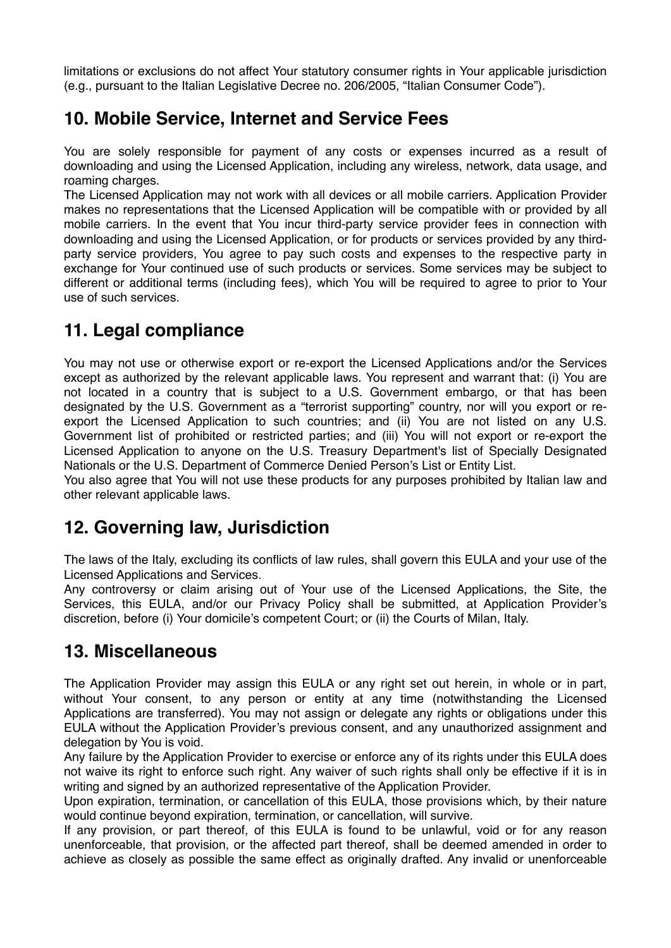limitations or exclusions do not affect Your statutory consumer rights in Your applicable jurisdiction (e.g., pursuant to the Italian Legislative Decree no. 206/2005, "Italian Consumer Code").

#### **10. Mobile Service, Internet and Service Fees**

You are solely responsible for payment of any costs or expenses incurred as a result of downloading and using the Licensed Application, including any wireless, network, data usage, and roaming charges.

The Licensed Application may not work with all devices or all mobile carriers. Application Provider makes no representations that the Licensed Application will be compatible with or provided by all mobile carriers. In the event that You incur third-party service provider fees in connection with downloading and using the Licensed Application, or for products or services provided by any thirdparty service providers, You agree to pay such costs and expenses to the respective party in exchange for Your continued use of such products or services. Some services may be subject to different or additional terms (including fees), which You will be required to agree to prior to Your use of such services.

# **11. Legal compliance**

You may not use or otherwise export or re-export the Licensed Applications and/or the Services except as authorized by the relevant applicable laws. You represent and warrant that: (i) You are not located in a country that is subject to a U.S. Government embargo, or that has been designated by the U.S. Government as a "terrorist supporting" country, nor will you export or reexport the Licensed Application to such countries; and (ii) You are not listed on any U.S. Government list of prohibited or restricted parties; and (iii) You will not export or re-export the Licensed Application to anyone on the U.S. Treasury Department's list of Specially Designated Nationals or the U.S. Department of Commerce Denied Person's List or Entity List.

You also agree that You will not use these products for any purposes prohibited by Italian law and other relevant applicable laws.

## **12. Governing law, Jurisdiction**

The laws of the Italy, excluding its conflicts of law rules, shall govern this EULA and your use of the Licensed Applications and Services.

Any controversy or claim arising out of Your use of the Licensed Applications, the Site, the Services, this EULA, and/or our Privacy Policy shall be submitted, at Application Provider's discretion, before (i) Your domicile's competent Court; or (ii) the Courts of Milan, Italy.

#### **13. Miscellaneous**

The Application Provider may assign this EULA or any right set out herein, in whole or in part, without Your consent, to any person or entity at any time (notwithstanding the Licensed Applications are transferred). You may not assign or delegate any rights or obligations under this EULA without the Application Provider's previous consent, and any unauthorized assignment and delegation by You is void.

Any failure by the Application Provider to exercise or enforce any of its rights under this EULA does not waive its right to enforce such right. Any waiver of such rights shall only be effective if it is in writing and signed by an authorized representative of the Application Provider.

Upon expiration, termination, or cancellation of this EULA, those provisions which, by their nature would continue beyond expiration, termination, or cancellation, will survive.

If any provision, or part thereof, of this EULA is found to be unlawful, void or for any reason unenforceable, that provision, or the affected part thereof, shall be deemed amended in order to achieve as closely as possible the same effect as originally drafted. Any invalid or unenforceable